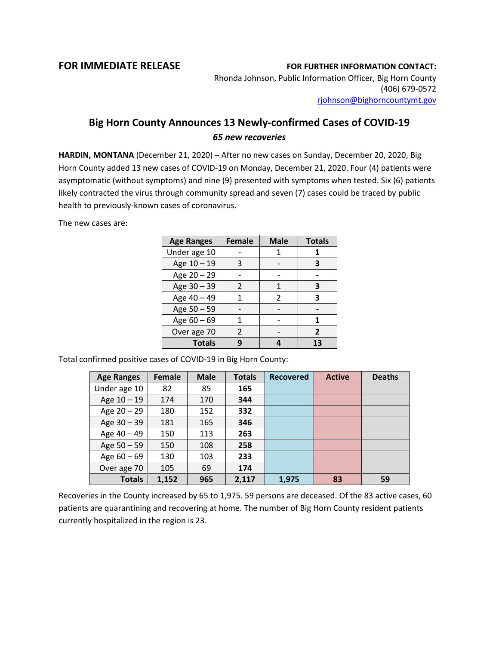## **FOR IMMEDIATE RELEASE FOR FURTHER INFORMATION CONTACT:**

Rhonda Johnson, Public Information Officer, Big Horn County (406) 679-0572 [rjohnson@bighorncountymt.gov](mailto:rjohnson@bighorncountymt.gov)

## **Big Horn County Announces 13 Newly-confirmed Cases of COVID-19** *65 new recoveries*

**HARDIN, MONTANA** (December 21, 2020) – After no new cases on Sunday, December 20, 2020, Big Horn County added 13 new cases of COVID-19 on Monday, December 21, 2020. Four (4) patients were asymptomatic (without symptoms) and nine (9) presented with symptoms when tested. Six (6) patients likely contracted the virus through community spread and seven (7) cases could be traced by public health to previously-known cases of coronavirus.

The new cases are:

| <b>Age Ranges</b> | <b>Female</b> | <b>Male</b> | <b>Totals</b> |
|-------------------|---------------|-------------|---------------|
| Under age 10      |               |             |               |
| Age 10 - 19       | 3             |             | 3             |
| Age 20 - 29       |               |             |               |
| Age 30 - 39       | $\mathcal{P}$ | 1           | з             |
| Age 40 - 49       |               | 2           | 3             |
| Age 50 - 59       |               |             |               |
| Age 60 - 69       |               |             | 1             |
| Over age 70       | 2             |             | 2             |
| <b>Totals</b>     |               |             | 13            |

Total confirmed positive cases of COVID-19 in Big Horn County:

| <b>Age Ranges</b> | <b>Female</b> | <b>Male</b> | <b>Totals</b> | <b>Recovered</b> | <b>Active</b> | <b>Deaths</b> |
|-------------------|---------------|-------------|---------------|------------------|---------------|---------------|
| Under age 10      | 82            | 85          | 165           |                  |               |               |
| Age 10 - 19       | 174           | 170         | 344           |                  |               |               |
| Age $20 - 29$     | 180           | 152         | 332           |                  |               |               |
| Age 30 - 39       | 181           | 165         | 346           |                  |               |               |
| Age 40 - 49       | 150           | 113         | 263           |                  |               |               |
| Age 50 - 59       | 150           | 108         | 258           |                  |               |               |
| Age $60 - 69$     | 130           | 103         | 233           |                  |               |               |
| Over age 70       | 105           | 69          | 174           |                  |               |               |
| <b>Totals</b>     | 1,152         | 965         | 2,117         | 1,975            | 83            | 59            |

Recoveries in the County increased by 65 to 1,975. 59 persons are deceased. Of the 83 active cases, 60 patients are quarantining and recovering at home. The number of Big Horn County resident patients currently hospitalized in the region is 23.